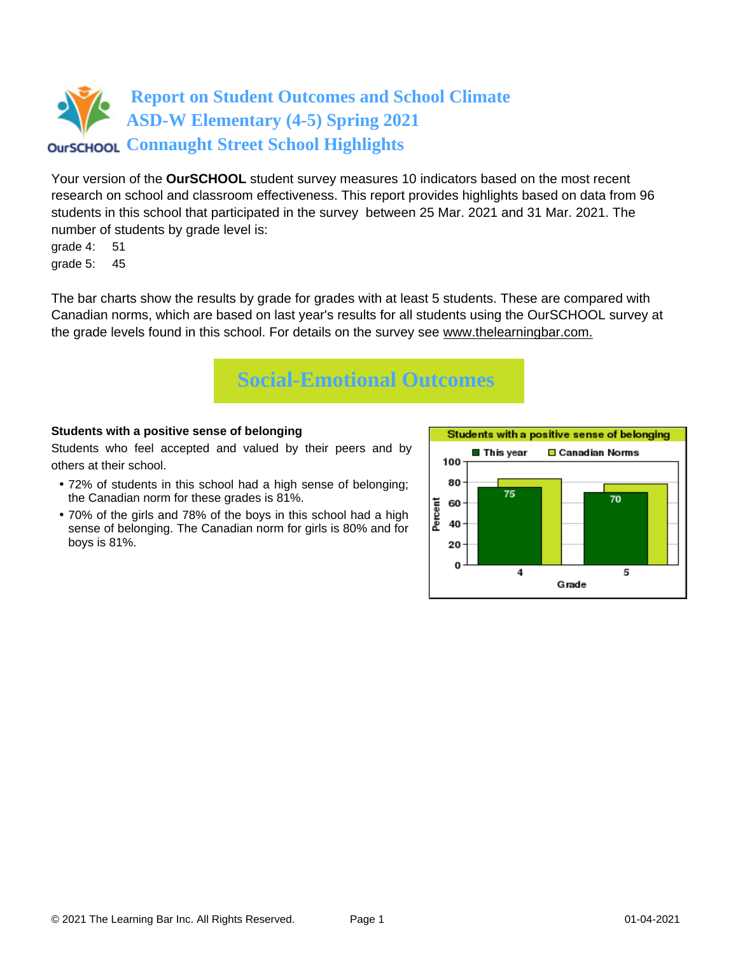

Your version of the **OurSCHOOL** student survey measures 10 indicators based on the most recent research on school and classroom effectiveness. This report provides highlights based on data from 96 students in this school that participated in the survey between 25 Mar. 2021 and 31 Mar. 2021. The number of students by grade level is:

grade 4: 51

grade 5: 45

The bar charts show the results by grade for grades with at least 5 students. These are compared with Canadian norms, which are based on last year's results for all students using the OurSCHOOL survey at the grade levels found in this school. For details on the survey see [www.thelearningbar.com.](www.thelearningbar.com)



### **Students with a positive sense of belonging**

Students who feel accepted and valued by their peers and by others at their school.

- 72% of students in this school had a high sense of belonging; the Canadian norm for these grades is 81%.
- 70% of the girls and 78% of the boys in this school had a high sense of belonging. The Canadian norm for girls is 80% and for boys is 81%.

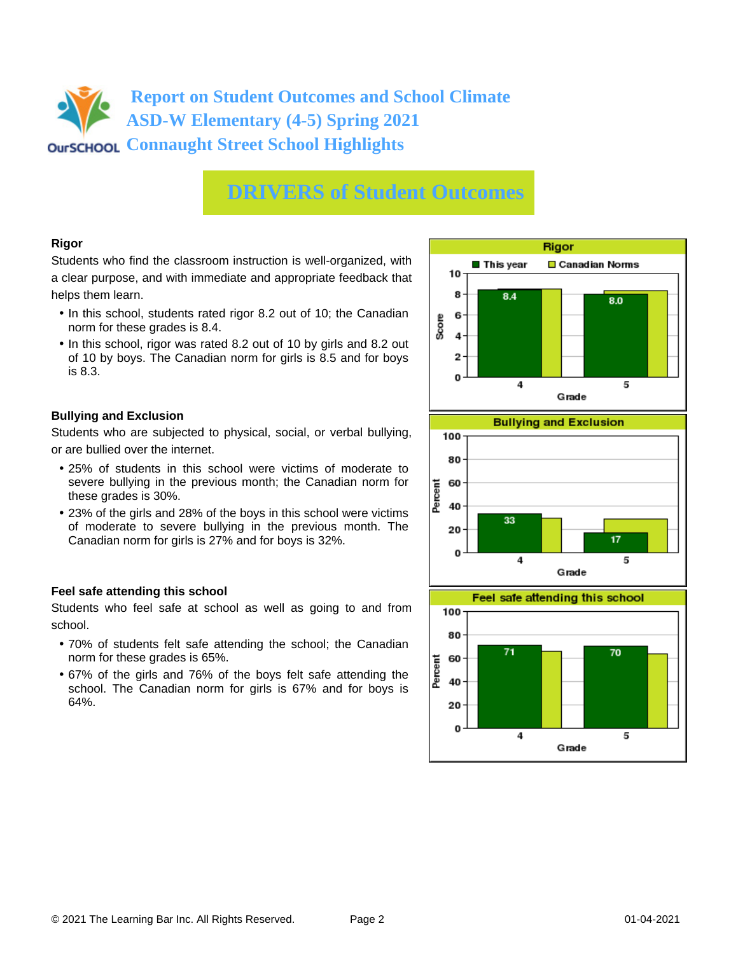## **Report on Student Outcomes and School Climate ASD-W Elementary (4-5) Spring 2021 CONNAUGHT CONNAUGHT Street School Highlights**

# **DRIVERS of Student Outcomes**

### **Rigor**

Students who find the classroom instruction is well-organized, with a clear purpose, and with immediate and appropriate feedback that helps them learn.

- In this school, students rated rigor 8.2 out of 10; the Canadian norm for these grades is 8.4.
- In this school, rigor was rated 8.2 out of 10 by girls and 8.2 out of 10 by boys. The Canadian norm for girls is 8.5 and for boys is 8.3.

### **Bullying and Exclusion**

Students who are subjected to physical, social, or verbal bullying, or are bullied over the internet.

- 25% of students in this school were victims of moderate to severe bullying in the previous month; the Canadian norm for these grades is 30%.
- 23% of the girls and 28% of the boys in this school were victims of moderate to severe bullying in the previous month. The Canadian norm for girls is 27% and for boys is 32%.

### **Feel safe attending this school**

Students who feel safe at school as well as going to and from school.

- 70% of students felt safe attending the school; the Canadian norm for these grades is 65%.
- 67% of the girls and 76% of the boys felt safe attending the school. The Canadian norm for girls is 67% and for boys is 64%.





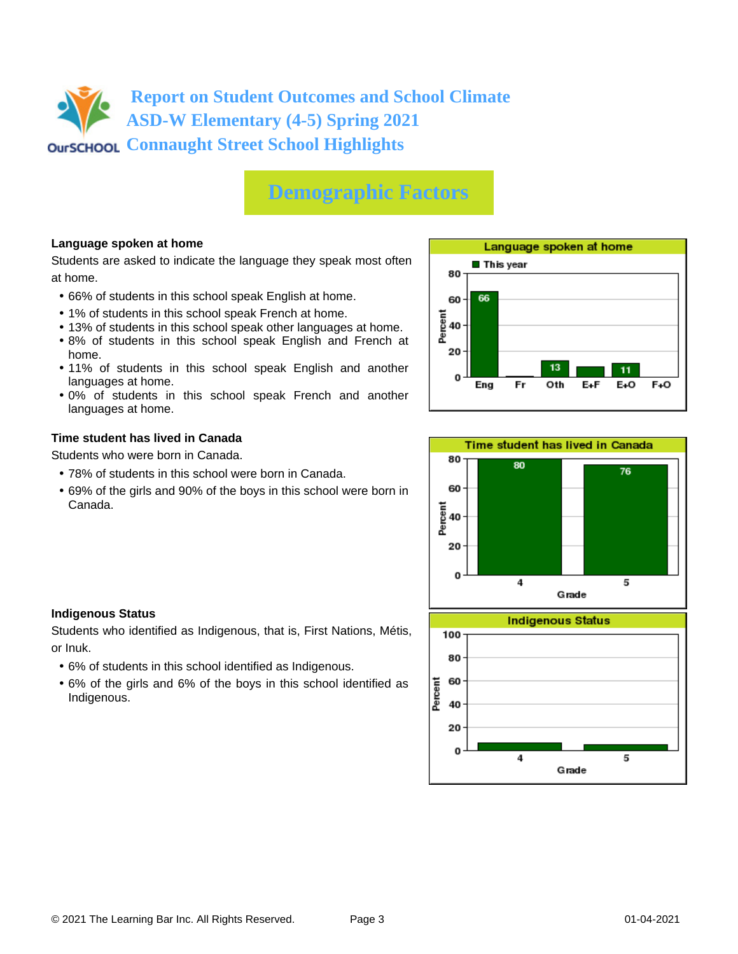# **Report on Student Outcomes and School Climate ASD-W Elementary (4-5) Spring 2021 CONNAUGHT CONNAUGHT Street School Highlights**

# **Demographic Factors**

### **Language spoken at home**

Students are asked to indicate the language they speak most often at home.

- 66% of students in this school speak English at home.
- 1% of students in this school speak French at home.
- 13% of students in this school speak other languages at home.
- 8% of students in this school speak English and French at home.
- 11% of students in this school speak English and another languages at home.
- 0% of students in this school speak French and another languages at home.

#### **Time student has lived in Canada**

Students who were born in Canada.

- 78% of students in this school were born in Canada.
- 69% of the girls and 90% of the boys in this school were born in Canada.





### **Indigenous Status**

Students who identified as Indigenous, that is, First Nations, Métis, or Inuk.

- 6% of students in this school identified as Indigenous.
- 6% of the girls and 6% of the boys in this school identified as Indigenous.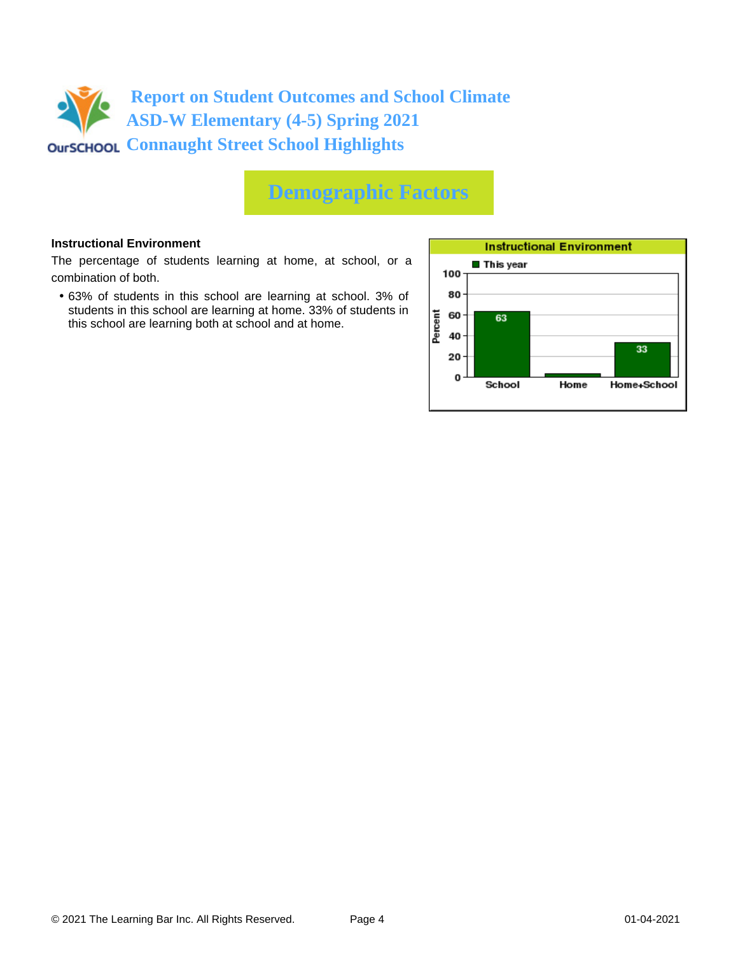

# **Demographic Factors**

#### **Instructional Environment**

The percentage of students learning at home, at school, or a combination of both.

• 63% of students in this school are learning at school. 3% of students in this school are learning at home. 33% of students in this school are learning both at school and at home.

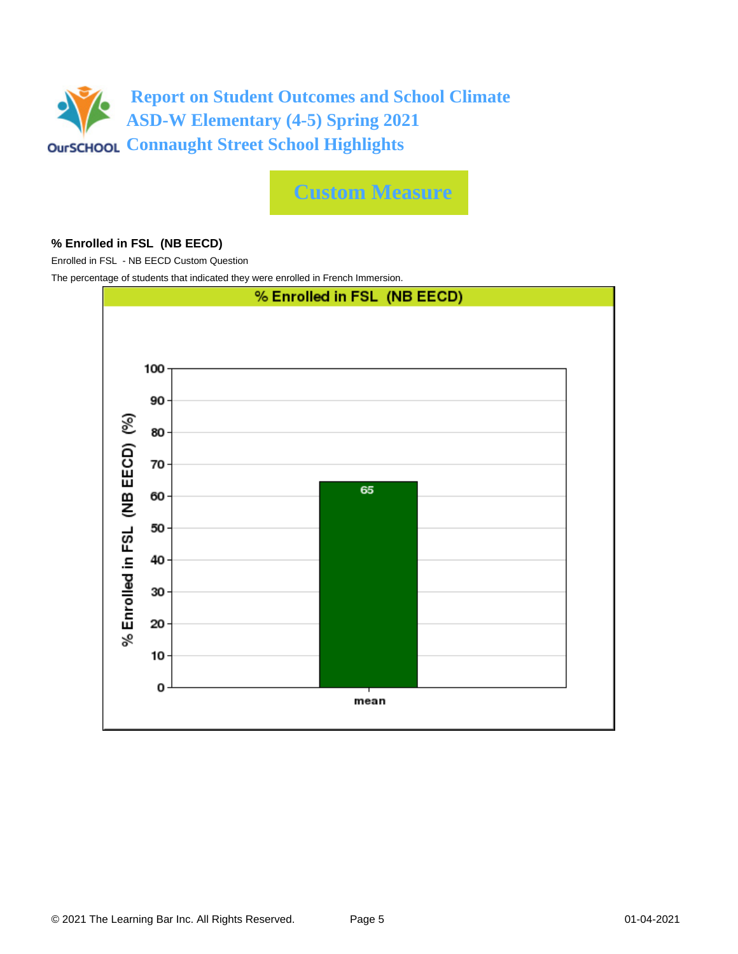

**Custom Measure**

### **% Enrolled in FSL (NB EECD)**

Enrolled in FSL - NB EECD Custom Question

The percentage of students that indicated they were enrolled in French Immersion.

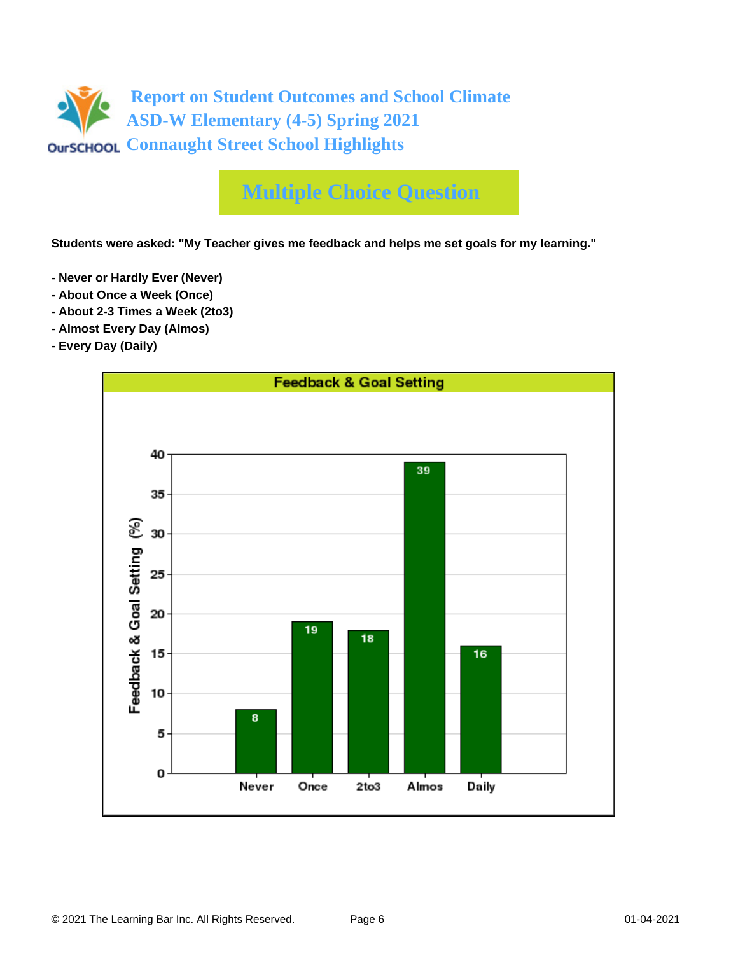

# **Multiple Choice Question**

**Students were asked: "My Teacher gives me feedback and helps me set goals for my learning."**

- **Never or Hardly Ever (Never)**
- **About Once a Week (Once)**
- **About 2-3 Times a Week (2to3)**
- **Almost Every Day (Almos)**
- **Every Day (Daily)**